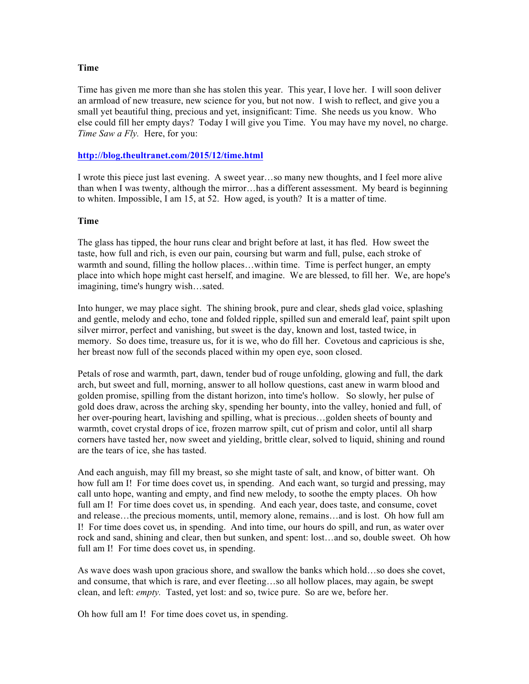## **Time**

Time has given me more than she has stolen this year. This year, I love her. I will soon deliver an armload of new treasure, new science for you, but not now. I wish to reflect, and give you a small yet beautiful thing, precious and yet, insignificant: Time. She needs us you know. Who else could fill her empty days? Today I will give you Time. You may have my novel, no charge. *Time Saw a Fly.* Here, for you:

## **http://blog.theultranet.com/2015/12/time.html**

I wrote this piece just last evening. A sweet year…so many new thoughts, and I feel more alive than when I was twenty, although the mirror…has a different assessment. My beard is beginning to whiten. Impossible, I am 15, at 52. How aged, is youth? It is a matter of time.

## **Time**

The glass has tipped, the hour runs clear and bright before at last, it has fled. How sweet the taste, how full and rich, is even our pain, coursing but warm and full, pulse, each stroke of warmth and sound, filling the hollow places…within time. Time is perfect hunger, an empty place into which hope might cast herself, and imagine. We are blessed, to fill her. We, are hope's imagining, time's hungry wish…sated.

Into hunger, we may place sight. The shining brook, pure and clear, sheds glad voice, splashing and gentle, melody and echo, tone and folded ripple, spilled sun and emerald leaf, paint spilt upon silver mirror, perfect and vanishing, but sweet is the day, known and lost, tasted twice, in memory. So does time, treasure us, for it is we, who do fill her. Covetous and capricious is she, her breast now full of the seconds placed within my open eye, soon closed.

Petals of rose and warmth, part, dawn, tender bud of rouge unfolding, glowing and full, the dark arch, but sweet and full, morning, answer to all hollow questions, cast anew in warm blood and golden promise, spilling from the distant horizon, into time's hollow. So slowly, her pulse of gold does draw, across the arching sky, spending her bounty, into the valley, honied and full, of her over-pouring heart, lavishing and spilling, what is precious…golden sheets of bounty and warmth, covet crystal drops of ice, frozen marrow spilt, cut of prism and color, until all sharp corners have tasted her, now sweet and yielding, brittle clear, solved to liquid, shining and round are the tears of ice, she has tasted.

And each anguish, may fill my breast, so she might taste of salt, and know, of bitter want. Oh how full am I! For time does covet us, in spending. And each want, so turgid and pressing, may call unto hope, wanting and empty, and find new melody, to soothe the empty places. Oh how full am I! For time does covet us, in spending. And each year, does taste, and consume, covet and release…the precious moments, until, memory alone, remains…and is lost. Oh how full am I! For time does covet us, in spending. And into time, our hours do spill, and run, as water over rock and sand, shining and clear, then but sunken, and spent: lost…and so, double sweet. Oh how full am I! For time does covet us, in spending.

As wave does wash upon gracious shore, and swallow the banks which hold…so does she covet, and consume, that which is rare, and ever fleeting…so all hollow places, may again, be swept clean, and left: *empty.* Tasted, yet lost: and so, twice pure. So are we, before her.

Oh how full am I! For time does covet us, in spending.